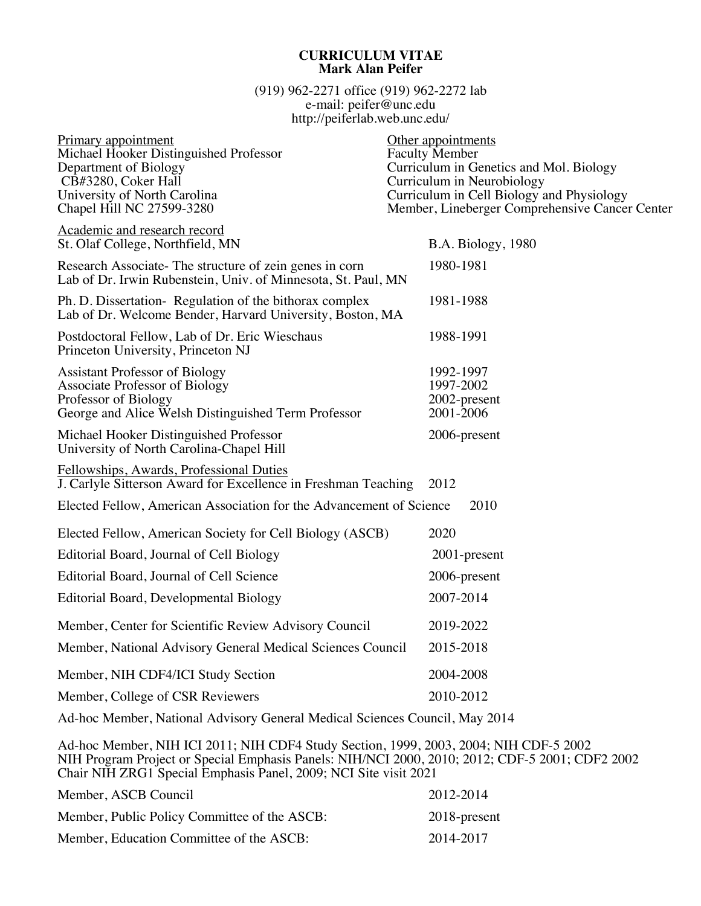## **CURRICULUM VITAE Mark Alan Peifer**

(919) 962-2271 office (919) 962-2272 lab e-mail: peifer@unc.edu http://peiferlab.web.unc.edu/

| Primary appointment<br>Michael Hooker Distinguished Professor<br>Department of Biology<br>CB#3280, Coker Hall<br>University of North Carolina<br>Chapel Hill NC 27599-3280               | Other appointments<br><b>Faculty Member</b><br>Curriculum in Genetics and Mol. Biology<br>Curriculum in Neurobiology<br>Curriculum in Cell Biology and Physiology<br>Member, Lineberger Comprehensive Cancer Center |
|------------------------------------------------------------------------------------------------------------------------------------------------------------------------------------------|---------------------------------------------------------------------------------------------------------------------------------------------------------------------------------------------------------------------|
| Academic and research record<br>St. Olaf College, Northfield, MN                                                                                                                         | B.A. Biology, 1980                                                                                                                                                                                                  |
| Research Associate-The structure of zein genes in corn<br>Lab of Dr. Irwin Rubenstein, Univ. of Minnesota, St. Paul, MN                                                                  | 1980-1981                                                                                                                                                                                                           |
| Ph. D. Dissertation- Regulation of the bithorax complex<br>Lab of Dr. Welcome Bender, Harvard University, Boston, MA                                                                     | 1981-1988                                                                                                                                                                                                           |
| Postdoctoral Fellow, Lab of Dr. Eric Wieschaus<br>Princeton University, Princeton NJ                                                                                                     | 1988-1991                                                                                                                                                                                                           |
| <b>Assistant Professor of Biology</b><br><b>Associate Professor of Biology</b><br>Professor of Biology<br>George and Alice Welsh Distinguished Term Professor                            | 1992-1997<br>1997-2002<br>2002-present<br>2001-2006                                                                                                                                                                 |
| Michael Hooker Distinguished Professor<br>University of North Carolina-Chapel Hill                                                                                                       | 2006-present                                                                                                                                                                                                        |
| Fellowships, Awards, Professional Duties<br>J. Carlyle Sitterson Award for Excellence in Freshman Teaching                                                                               | 2012                                                                                                                                                                                                                |
| Elected Fellow, American Association for the Advancement of Science                                                                                                                      | 2010                                                                                                                                                                                                                |
| Elected Fellow, American Society for Cell Biology (ASCB)                                                                                                                                 | 2020                                                                                                                                                                                                                |
| Editorial Board, Journal of Cell Biology                                                                                                                                                 | 2001-present                                                                                                                                                                                                        |
| Editorial Board, Journal of Cell Science                                                                                                                                                 | 2006-present                                                                                                                                                                                                        |
| Editorial Board, Developmental Biology                                                                                                                                                   | 2007-2014                                                                                                                                                                                                           |
| Member, Center for Scientific Review Advisory Council                                                                                                                                    | 2019-2022                                                                                                                                                                                                           |
| Member, National Advisory General Medical Sciences Council                                                                                                                               | 2015-2018                                                                                                                                                                                                           |
| Member, NIH CDF4/ICI Study Section                                                                                                                                                       | 2004-2008                                                                                                                                                                                                           |
| Member, College of CSR Reviewers                                                                                                                                                         | 2010-2012                                                                                                                                                                                                           |
| Ad-hoc Member, National Advisory General Medical Sciences Council, May 2014                                                                                                              |                                                                                                                                                                                                                     |
| Ad-hoc Member, NIH ICI 2011; NIH CDF4 Study Section, 1999, 2003, 2004; NIH CDF-5 2002<br>NIH Program Project or Special Emphasis Panels: NIH/NCI 2000, 2010; 2012; CDF-5 2001; CDF2 2002 |                                                                                                                                                                                                                     |

Chair NIH ZRG1 Special Emphasis Panel, 2009; NCI Site visit 2021

| Member, ASCB Council                         | 2012-2014    |
|----------------------------------------------|--------------|
| Member, Public Policy Committee of the ASCB: | 2018-present |
| Member, Education Committee of the ASCB:     | 2014-2017    |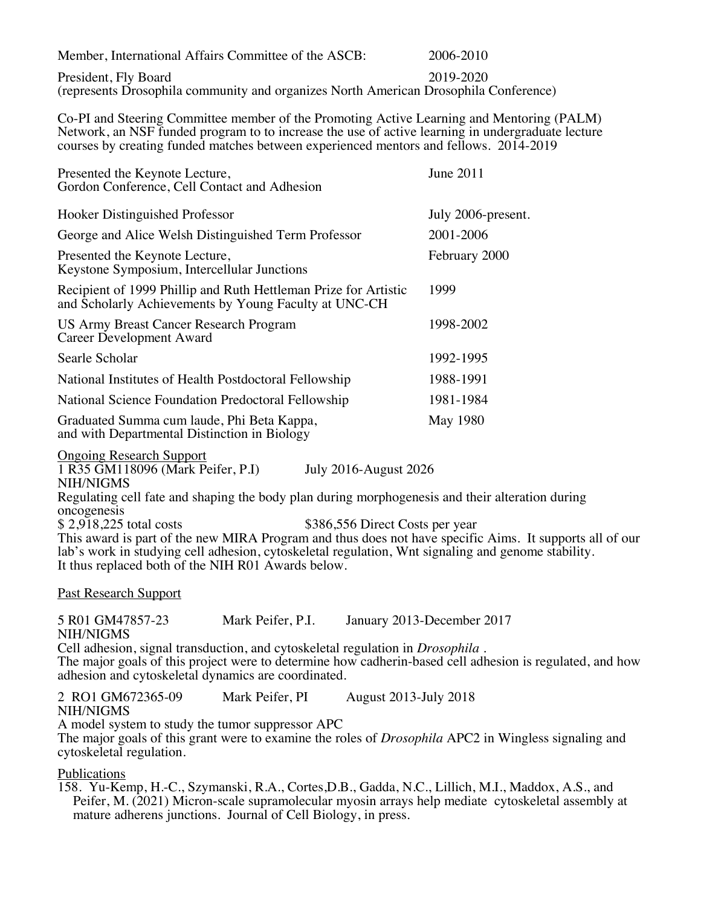Member, International Affairs Committee of the ASCB: 2006-2010

President, Fly Board 2019-2020 (represents Drosophila community and organizes North American Drosophila Conference)

Co-PI and Steering Committee member of the Promoting Active Learning and Mentoring (PALM) Network, an NSF funded program to to increase the use of active learning in undergraduate lecture courses by creating funded matches between experienced mentors and fellows. 2014-2019

| Presented the Keynote Lecture,<br>Gordon Conference, Cell Contact and Adhesion                                           | June 2011          |
|--------------------------------------------------------------------------------------------------------------------------|--------------------|
| Hooker Distinguished Professor                                                                                           | July 2006-present. |
| George and Alice Welsh Distinguished Term Professor                                                                      | 2001-2006          |
| Presented the Keynote Lecture,<br>Keystone Symposium, Intercellular Junctions                                            | February 2000      |
| Recipient of 1999 Phillip and Ruth Hettleman Prize for Artistic<br>and Scholarly Achievements by Young Faculty at UNC-CH | 1999               |
| US Army Breast Cancer Research Program<br>Career Development Award                                                       | 1998-2002          |
| Searle Scholar                                                                                                           | 1992-1995          |
| National Institutes of Health Postdoctoral Fellowship                                                                    | 1988-1991          |
| National Science Foundation Predoctoral Fellowship                                                                       | 1981-1984          |
| Graduated Summa cum laude, Phi Beta Kappa,<br>and with Departmental Distinction in Biology                               | May 1980           |

Ongoing Research Support

1 R35 GM118096 (Mark Peifer, P.I) July 2016-August 2026

NIH/NIGMS

Regulating cell fate and shaping the body plan during morphogenesis and their alteration during oncogenesis<br>\$2.918.225 total costs

\$386,556 Direct Costs per year

This award is part of the new MIRA Program and thus does not have specific Aims. It supports all of our lab's work in studying cell adhesion, cytoskeletal regulation, Wnt signaling and genome stability. It thus replaced both of the NIH R01 Awards below.

Past Research Support

5 R01 GM47857-23 Mark Peifer, P.I. January 2013-December 2017 NIH/NIGMS

Cell adhesion, signal transduction, and cytoskeletal regulation in *Drosophila* . The major goals of this project were to determine how cadherin-based cell adhesion is regulated, and how adhesion and cytoskeletal dynamics are coordinated.

2 RO1 GM672365-09 Mark Peifer, PI August 2013-July 2018 NIH/NIGMS

A model system to study the tumor suppressor APC

The major goals of this grant were to examine the roles of *Drosophila* APC2 in Wingless signaling and cytoskeletal regulation.

**Publications** 

158. Yu-Kemp, H.-C., Szymanski, R.A., Cortes,D.B., Gadda, N.C., Lillich, M.I., Maddox, A.S., and Peifer, M. (2021) Micron-scale supramolecular myosin arrays help mediate cytoskeletal assembly at mature adherens junctions. Journal of Cell Biology, in press.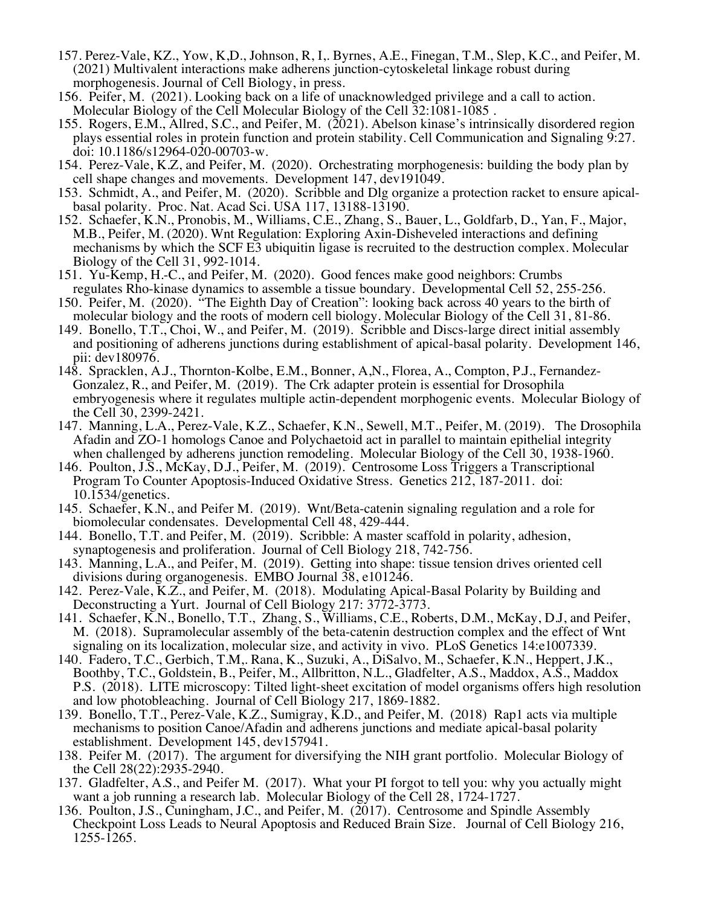- 157. Perez-Vale, KZ., Yow, K,D., Johnson, R, I,. Byrnes, A.E., Finegan, T.M., Slep, K.C., and Peifer, M. (2021) Multivalent interactions make adherens junction-cytoskeletal linkage robust during morphogenesis. Journal of Cell Biology, in press.
- 156. Peifer, M. (2021). Looking back on a life of unacknowledged privilege and a call to action.
- Molecular Biology of the Cell Molecular Biology of the Cell 32:1081-1085 . 155. Rogers, E.M., Allred, S.C., and Peifer, M. (2021). Abelson kinase's intrinsically disordered region plays essential roles in protein function and protein stability. Cell Communication and Signaling 9:27.
- 154. Perez-Vale, K.Z, and Peifer, M. (2020). Orchestrating morphogenesis: building the body plan by
- cell shape changes and movements. Development 147, dev191049.<br>153. Schmidt, A., and Peifer, M. (2020). Scribble and Dlg organize a protection racket to ensure apical-<br>basal polarity. Proc. Nat. Acad Sci. USA 117, 13188-131
- M.B., Peifer, M. (2020). Wnt Regulation: Exploring Axin-Disheveled interactions and defining mechanisms by which the SCF E3 ubiquitin ligase is recruited to the destruction complex. Molecular
- Biology of the Cell 31, 992-1014. 151. Yu-Kemp, H.-C., and Peifer, M. (2020). Good fences make good neighbors: Crumbs regulates Rho-kinase dynamics to assemble a tissue boundary. Developmental Cell 52, 255-256.
- 150. Peifer, M. (2020). "The Eighth Day of Creation": looking back across 40 years to the birth of molecular biology and the roots of modern cell biology. Molecular Biology of the Cell 31, 81-86. 149. Bonello, T.T., Choi, W., and Peifer, M. (2019). Scribble and Discs-large direct initial assembly
- and positioning of adherens junctions during establishment of apical-basal polarity. Development 146,
- pii: dev180976.<br>148. Spracklen, A.J., Thornton-Kolbe, E.M., Bonner, A.N., Florea, A., Compton, P.J., Fernandez-<br>Gonzalez, R., and Peifer, M. (2019). The Crk adapter protein is essential for Drosophila embryogenesis where it regulates multiple actin-dependent morphogenic events. Molecular Biology of the Cell 30, 2399-2421. 147. Manning, L.A., Perez-Vale, K.Z., Schaefer, K.N., Sewell, M.T., Peifer, M. (2019). The Drosophila
- Afadin and ZO-1 homologs Canoe and Polychaetoid act in parallel to maintain epithelial integrity when challenged by adherens junction remodeling. Molecular Biology of the Cell 30, 1938-1960. 146. Poulton, J.S., McKay, D.J., Peifer, M. (2019). Centrosome Loss Triggers a Transcriptional
- Program To Counter Apoptosis-Induced Oxidative Stress. Genetics 212, 187-2011. doi: 10.1534/genetics.
- 145. Schaefer, K.N., and Peifer M. (2019). Wnt/Beta-catenin signaling regulation and a role for biomolecular condensates. Developmental Cell 48, 429-444. 144. Bonello, T.T. and Peifer, M. (2019). Scribble: A master scaffold in polarity, adhesion,
- 
- synaptogenesis and proliferation. Journal of Cell Biology 218, 742-756. 143. Manning, L.A., and Peifer, M. (2019). Getting into shape: tissue tension drives oriented cell
- divisions during organogenesis. EMBO Journal 38, e101246.<br>142. Perez-Vale, K.Z., and Peifer, M. (2018). Modulating Apical-Basal Polarity by Building and<br>Deconstructing a Yurt. Journal of Cell Biology 217: 3772-3773.
- 141. Schaefer, K.N., Bonello, T.T., Zhang, S., Williams, C.E., Roberts, D.M., McKay, D.J, and Peifer, M. (2018). Supramolecular assembly of the beta-catenin destruction complex and the effect of Wnt
- signaling on its localization, molecular size, and activity in vivo. PLoS Genetics 14:e1007339.<br>140. Fadero, T.C., Gerbich, T.M., Rana, K., Suzuki, A., DiSalvo, M., Schaefer, K.N., Heppert, J.K.,<br>Boothby, T.C., Goldstein, P.S. (2018). LITE microscopy: Tilted light-sheet excitation of model organisms offers high resolution
- and low photobleaching. Journal of Cell Biology 217, 1869-1882. 139. Bonello, T.T., Perez-Vale, K.Z., Sumigray, K.D., and Peifer, M. (2018) Rap1 acts via multiple mechanisms to position Canoe/Afadin and adherens junctions and mediate apical-basal polarity establishment. Development 145, dev157941.
- 138. Peifer M. (2017). The argument for diversifying the NIH grant portfolio. Molecular Biology of the Cell 28(22):2935-2940.
- 137. Gladfelter, A.S., and Peifer M. (2017). What your PI forgot to tell you: why you actually might want a job running a research lab. Molecular Biology of the Cell 28, 1724-1727. 136. Poulton, J.S., Cuningham, J.C., and Peifer, M. (2017). Centrosome and Spindle Assembly
- Checkpoint Loss Leads to Neural Apoptosis and Reduced Brain Size. Journal of Cell Biology 216, 1255-1265.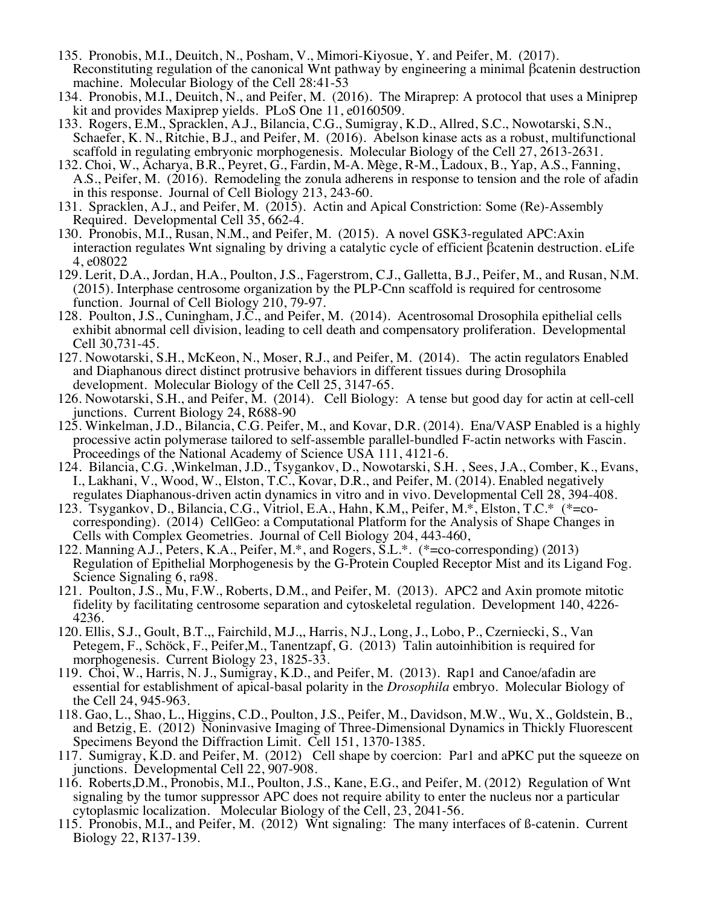- 135. Pronobis, M.I., Deuitch, N., Posham, V., Mimori-Kiyosue, Y. and Peifer, M. (2017). Reconstituting regulation of the canonical Wnt pathway by engineering a minimal βcatenin destruction machine. Molecular Biology of the Cell 28:41-53
- 134. Pronobis, M.I., Deuitch, N., and Peifer, M. (2016). The Miraprep: A protocol that uses a Miniprep
- kit and provides Maxiprep yields. PLoS One 11, e0160509. 133. Rogers, E.M., Spracklen, A.J., Bilancia, C.G., Sumigray, K.D., Allred, S.C., Nowotarski, S.N., Schaefer, K. N., Ritchie, B.J., and Peifer, M. (2016). Abelson kinase acts as a robust, multifunctional scaffold in regulating embryonic morphogenesis. Molecular Biology of the Cell 27, 2613-2631.
- 132. Choi, W., Acharya, B.R., Peyret, G., Fardin, M-A. Mège, R-M., Ladoux, B., Yap, A.S., Fanning, A.S., Peifer, M. (2016). Remodeling the zonula adherens in response to tension and the role of afadin in this response. Journal of Cell Biology 213, 243-60.
- 131. Spracklen, A.J., and Peifer, M. (2015). Actin and Apical Constriction: Some (Re)-Assembly Required. Developmental Cell 35, 662-4.
- 130. Pronobis, M.I., Rusan, N.M., and Peifer, M. (2015). A novel GSK3-regulated APC:Axin interaction regulates Wnt signaling by driving a catalytic cycle of efficient βcatenin destruction. eLife 4, e08022
- 129. Lerit, D.A., Jordan, H.A., Poulton, J.S., Fagerstrom, C.J., Galletta, B.J., Peifer, M., and Rusan, N.M. (2015). Interphase centrosome organization by the PLP-Cnn scaffold is required for centrosome function. Journal of Cell Biology 210, 79-97.
- 128. Poulton, J.S., Cuningham, J.C., and Peifer, M. (2014). Acentrosomal Drosophila epithelial cells exhibit abnormal cell division, leading to cell death and compensatory proliferation. Developmental
- Cell 30,731-45. 127. Nowotarski, S.H., McKeon, N., Moser, R.J., and Peifer, M. (2014). The actin regulators Enabled and Diaphanous direct distinct protrusive behaviors in different tissues during Drosophila development. Molecular Biology of the Cell 25, 3147-65.
- 126. Nowotarski, S.H., and Peifer, M. (2014). Cell Biology: A tense but good day for actin at cell-cell junctions. Current Biology 24, R688-90
- 125. Winkelman, J.D., Bilancia, C.G. Peifer, M., and Kovar, D.R. (2014). Ena/VASP Enabled is a highly processive actin polymerase tailored to self-assemble parallel-bundled F-actin networks with Fascin. Proceedings of the National Academy of Science USA 111, 4121-6.<br>124. Bilancia, C.G. , Winkelman, J.D., Tsygankov, D., Nowotarski, S.H., Sees, J.A., Comber, K., Evans,
- I., Lakhani, V., Wood, W., Elston, T.C., Kovar, D.R., and Peifer, M. (2014). Enabled negatively regulates Diaphanous-driven actin dynamics in vitro and in vivo. Developmental Cell 28, 394-408.
- 123. Tsygankov, D., Bilancia, C.G., Vitriol, E.A., Hahn, K.M,, Peifer, M.\*, Elston, T.C.\* (\*=cocorresponding). (2014) CellGeo: a Computational Platform for the Analysis of Shape Changes in Cells with Complex Geometries. Journal of Cell Biology 204, 443-460,
- 122. Manning A.J., Peters, K.A., Peifer, M.\*, and Rogers,  $SL.*.$  (\*=co-corresponding) (2013) Regulation of Epithelial Morphogenesis by the G-Protein Coupled Receptor Mist and its Ligand Fog.<br>Science Signaling 6, ra98.<br>121. Poulton, J.S., Mu, F.W., Roberts, D.M., and Peifer, M. (2013). APC2 and Axin promote mitotic
- 
- fidelity by facilitating centrosome separation and cytoskeletal regulation. Development 140, 4226- 4236. 120. Ellis, S.J., Goult, B.T.,, Fairchild, M.J.,, Harris, N.J., Long, J., Lobo, P., Czerniecki, S., Van Petegem, F., Schöck, F., Peifer, M., Tanentzapf, G. (2013) Talin autoinhibition is required for morphogenesis. Current Biology 23, 1825-33.
- 119. Choi, W., Harris, N. J., Sumigray, K.D., and Peifer, M. (2013). Rap1 and Canoe/afadin are essential for establishment of apical-basal polarity in the *Drosophila* embryo. Molecular Biology of the Cell 24, 945-963. 118. Gao, L., Shao, L., Higgins, C.D., Poulton, J.S., Peifer, M., Davidson, M.W., Wu, X., Goldstein, B.,
- and Betzig, E. (2012) Noninvasive Imaging of Three-Dimensional Dynamics in Thickly Fluorescent Specimens Beyond the Diffraction Limit. Cell 151, 1370-1385.
- 117. Sumigray, K.D. and Peifer, M. (2012) Cell shape by coercion: Par1 and aPKC put the squeeze on junctions. Developmental Cell 22, 907-908.
- 116. Roberts,D.M., Pronobis, M.I., Poulton, J.S., Kane, E.G., and Peifer, M. (2012) Regulation of Wnt signaling by the tumor suppressor APC does not require ability to enter the nucleus nor a particular cytoplasmic localization. Molecular Biology of the Cell, 23, 2041-56.
- 115. Pronobis, M.I., and Peifer, M. (2012) Wnt signaling: The many interfaces of  $\beta$ -catenin. Current Biology 22, R137-139.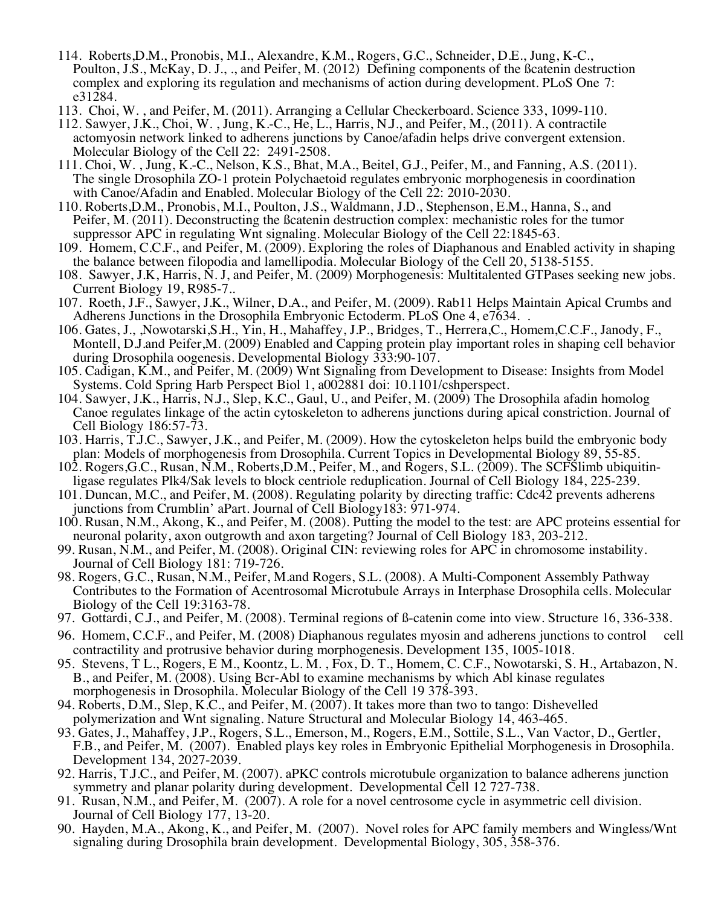- 114. Roberts,D.M., Pronobis, M.I., Alexandre, K.M., Rogers, G.C., Schneider, D.E., Jung, K-C., Poulton, J.S., McKay, D. J., ., and Peifer, M. (2012) Defining components of the ßcatenin destruction complex and exploring its regulation and mechanisms of action during development. PLoS One 7:
- e31284. 113. Choi, W. , and Peifer, M. (2011). Arranging a Cellular Checkerboard. Science 333, 1099-110.
- 112. Sawyer, J.K., Choi, W. , Jung, K.-C., He, L., Harris, N.J., and Peifer, M., (2011). A contractile actomyosin network linked to adherens junctions by Canoe/afadin helps drive convergent extension.<br>Molecular Biology of the Cell 22: 2491-2508.
- 111. Choi, W., Jung, K.-C., Nelson, K.S., Bhat, M.A., Beitel, G.J., Peifer, M., and Fanning, A.S. (2011). The single Drosophila ZO-1 protein Polychaetoid regulates embryonic morphogenesis in coordination
- with Canoe/Afadin and Enabled. Molecular Biology of the Cell 22: 2010-2030. 110. Roberts,D.M., Pronobis, M.I., Poulton, J.S., Waldmann, J.D., Stephenson, E.M., Hanna, S., and Peifer, M. (2011). Deconstructing the ßcatenin destruction complex: mechanistic roles for the tumor
- suppressor APC in regulating Wnt signaling. Molecular Biology of the Cell 22:1845-63. 109. Homem, C.C.F., and Peifer, M. (2009). Exploring the roles of Diaphanous and Enabled activity in shaping the balance between filopodia and lamellipodia. Molecular Biology of the Cell 20, 5138-5155.
- 108. Sawyer, J.K, Harris, N. J, and Peifer, M. (2009) Morphogenesis: Multitalented GTPases seeking new jobs. Current Biology 19, R985-7.. 107. Roeth, J.F., Sawyer, J.K., Wilner, D.A., and Peifer, M. (2009). Rab11 Helps Maintain Apical Crumbs and
- Adherens Junctions in the Drosophila Embryonic Ectoderm. PLoS One 4, e7634. .
- 106. Gates, J., ,Nowotarski,S.H., Yin, H., Mahaffey, J.P., Bridges, T., Herrera,C., Homem,C.C.F., Janody, F., Montell, D.J.and Peifer, M. (2009) Enabled and Capping protein play important roles in shaping cell behavior during Drosophila oogenesis. Developmental Biology 333:90-107.
- 105. Cadigan, K.M., and Peifer, M. (2009) Wnt Signaling from Development to Disease: Insights from Model Systems. Cold Spring Harb Perspect Biol 1, a002881 doi: 10.1101/cshperspect.
- 104. Sawyer, J.K., Harris, N.J., Slep, K.C., Gaul, U., and Peifer, M. (2009) The Drosophila afadin homolog Canoe regulates linkage of the actin cytoskeleton to adherens junctions during apical constriction. Journal of
- Cell Biology 186:57-73. 103. Harris, T.J.C., Sawyer, J.K., and Peifer, M. (2009). How the cytoskeleton helps build the embryonic body plan: Models of morphogenesis from Drosophila. Current Topics in Developmental Biology 89, 55-85.
- 102. Rogers,G.C., Rusan, N.M., Roberts,D.M., Peifer, M., and Rogers, S.L. (2009). The SCFSlimb ubiquitinligase regulates Plk4/Sak levels to block centriole reduplication. Journal of Cell Biology 184, 225-239.
- 101. Duncan, M.C., and Peifer, M. (2008). Regulating polarity by directing traffic: Cdc42 prevents adherens junctions from Crumblin' aPart. Journal of Cell Biology183: 971-974.
- 100. Rusan, N.M., Akong, K., and Peifer, M. (2008). Putting the model to the test: are APC proteins essential for neuronal polarity, axon outgrowth and axon targeting? Journal of Cell Biology 183, 203-212.
- 99. Rusan, N.M., and Peifer, M. (2008). Original CIN: reviewing roles for APC in chromosome instability. Journal of Cell Biology 181: 719-726. 98. Rogers, G.C., Rusan, N.M., Peifer, M.and Rogers, S.L. (2008). A Multi-Component Assembly Pathway
- Contributes to the Formation of Acentrosomal Microtubule Arrays in Interphase Drosophila cells. Molecular Biology of the Cell 19:3163-78.
- 97. Gottardi, C.J., and Peifer, M. (2008). Terminal regions of ß-catenin come into view. Structure 16, 336-338.
- 96. Homem, C.C.F., and Peifer, M. (2008) Diaphanous regulates myosin and adherens junctions to control cell contractility and protrusive behavior during morphogenesis. Development 135, 1005-1018.
- 95. Stevens, T L., Rogers, E M., Koontz, L. M., Fox, D. T., Homem, C. C.F., Nowotarski, S. H., Artabazon, N. B., and Peifer, M. (2008). Using Bcr-Abl to examine mechanisms by which Abl kinase regulates morphogenesis in Drosophila. Molecular Biology of the Cell 19 378-393.
- 94. Roberts, D.M., Slep, K.C., and Peifer, M. (2007). It takes more than two to tango: Dishevelled polymerization and Wnt signaling. Nature Structural and Molecular Biology 14, 463-465.
- 93. Gates, J., Mahaffey, J.P., Rogers, S.L., Emerson, M., Rogers, E.M., Sottile, S.L., Van Vactor, D., Gertler, F.B., and Peifer, M. (2007). Enabled plays key roles in Embryonic Epithelial Morphogenesis in Drosophila. Development 134, 2027-2039.
- 92. Harris, T.J.C., and Peifer, M. (2007). aPKC controls microtubule organization to balance adherens junction symmetry and planar polarity during development. Developmental Cell 12 727-738.
- 91. Rusan, N.M., and Peifer, M. (2007). A role for a novel centrosome cycle in asymmetric cell division. Journal of Cell Biology 177, 13-20.
- 90. Hayden, M.A., Akong, K., and Peifer, M. (2007). Novel roles for APC family members and Wingless/Wnt signaling during Drosophila brain development. Developmental Biology, 305, 358-376.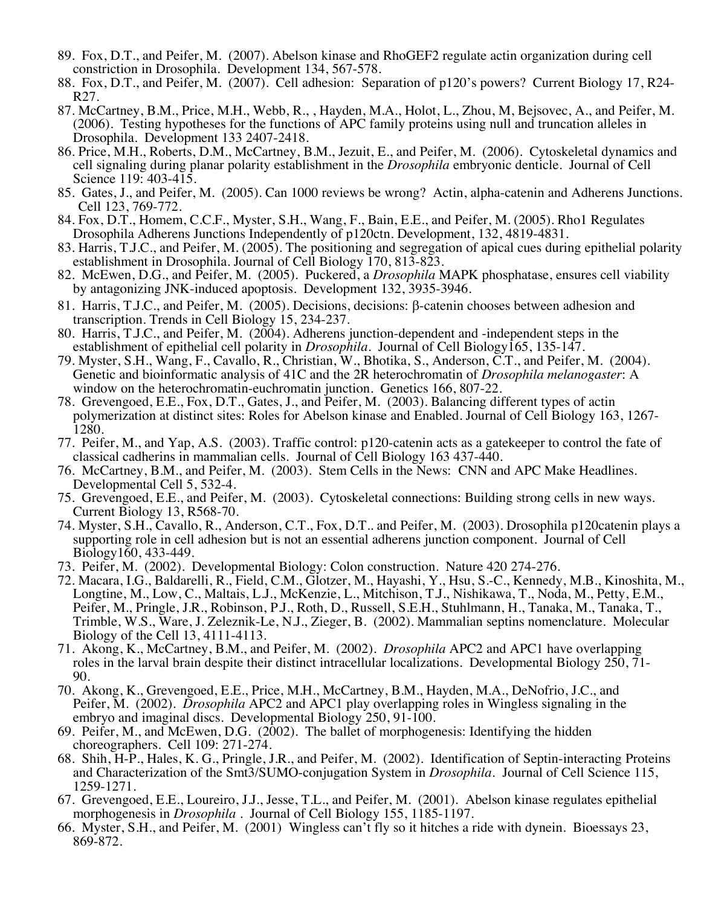- 89. Fox, D.T., and Peifer, M. (2007). Abelson kinase and RhoGEF2 regulate actin organization during cell constriction in Drosophila. Development 134, 567-578.
- 88. Fox, D.T., and Peifer, M. (2007). Cell adhesion: Separation of p120's powers? Current Biology 17, R24- R27.
- 87. McCartney, B.M., Price, M.H., Webb, R., , Hayden, M.A., Holot, L., Zhou, M, Bejsovec, A., and Peifer, M. (2006). Testing hypotheses for the functions of APC family proteins using null and truncation alleles in Drosophila. Development 133 2407-2418.
- 86. Price, M.H., Roberts, D.M., McCartney, B.M., Jezuit, E., and Peifer, M. (2006). Cytoskeletal dynamics and cell signaling during planar polarity establishment in the *Drosophila* embryonic denticle. Journal of Cell Science 119: 403-415.
- 85. Gates, J., and Peifer, M. (2005). Can 1000 reviews be wrong? Actin, alpha-catenin and Adherens Junctions. Cell 123, 769-772.
- 84. Fox, D.T., Homem, C.C.F., Myster, S.H., Wang, F., Bain, E.E., and Peifer, M. (2005). Rho1 Regulates Drosophila Adherens Junctions Independently of p120ctn. Development, 132, 4819-4831.
- 83. Harris, T.J.C., and Peifer, M. (2005). The positioning and segregation of apical cues during epithelial polarity establishment in Drosophila. Journal of Cell Biology 170, 813-823.
- 82. McEwen, D.G., and Peifer, M. (2005). Puckered, a *Drosophila* MAPK phosphatase, ensures cell viability by antagonizing JNK-induced apoptosis. Development 132, 3935-3946.
- 81. Harris, T.J.C., and Peifer, M. (2005). Decisions, decisions: b-catenin chooses between adhesion and transcription. Trends in Cell Biology 15, 234-237.
- 80. Harris, T.J.C., and Peifer, M. (2004). Adherens junction-dependent and -independent steps in the establishment of epithelial cell polarity in *Drosophila*. Journal of Cell Biology165, 135-147.
- 79. Myster, S.H., Wang, F., Cavallo, R., Christian, W., Bhotika, S., Anderson, C.T., and Peifer, M. (2004). Genetic and bioinformatic analysis of 41C and the 2R heterochromatin of *Drosophila melanogaster*: A window on the heterochromatin-euchromatin junction. Genetics 166, 807-22.
- 78. Grevengoed, E.E., Fox, D.T., Gates, J., and Peifer, M. (2003). Balancing different types of actin polymerization at distinct sites: Roles for Abelson kinase and Enabled. Journal of Cell Biology 163, 1267- 1280.
- 77. Peifer, M., and Yap, A.S. (2003). Traffic control: p120-catenin acts as a gatekeeper to control the fate of classical cadherins in mammalian cells. Journal of Cell Biology 163 437-440.
- 76. McCartney, B.M., and Peifer, M. (2003). Stem Cells in the News: CNN and APC Make Headlines. Developmental Cell 5, 532-4. 75. Grevengoed, E.E., and Peifer, M. (2003). Cytoskeletal connections: Building strong cells in new ways.
- Current Biology 13, R568-70. 74. Myster, S.H., Cavallo, R., Anderson, C.T., Fox, D.T.. and Peifer, M. (2003). Drosophila p120catenin plays a
- supporting role in cell adhesion but is not an essential adherens junction component. Journal of Cell Biology160, 433-449.
- 73. Peifer, M. (2002). Developmental Biology: Colon construction. Nature 420 274-276.
- 72. Macara, I.G., Baldarelli, R., Field, C.M., Glotzer, M., Hayashi, Y., Hsu, S.-C., Kennedy, M.B., Kinoshita, M., Longtine, M., Low, C., Maltais, L.J., McKenzie, L., Mitchison, T.J., Nishikawa, T., Noda, M., Petty, E.M., Peifer, M., Pringle, J.R., Robinson, P.J., Roth, D., Russell, S.E.H., Stuhlmann, H., Tanaka, M., Tanaka, T., Trimble, W.S., Ware, J. Zeleznik-Le, N.J., Zieger, B. (2002). Mammalian septins nomenclature. Molecular Biology of the Cell 13, 4111-4113.
- 71. Akong, K., McCartney, B.M., and Peifer, M. (2002). *Drosophila* APC2 and APC1 have overlapping roles in the larval brain despite their distinct intracellular localizations. Developmental Biology 250, 71- 90.
- 70. Akong, K., Grevengoed, E.E., Price, M.H., McCartney, B.M., Hayden, M.A., DeNofrio, J.C., and Peifer, M. (2002). *Drosophila* APC2 and APC1 play overlapping roles in Wingless signaling in the embryo and imaginal discs. Developmental Biology 250, 91-100.
- 69. Peifer, M., and McEwen, D.G. (2002). The ballet of morphogenesis: Identifying the hidden choreographers. Cell 109: 271-274.
- 68. Shih, H-P., Hales, K. G., Pringle, J.R., and Peifer, M. (2002). Identification of Septin-interacting Proteins and Characterization of the Smt3/SUMO-conjugation System in *Drosophila.* Journal of Cell Science 115, 1259-1271.
- 67. Grevengoed, E.E., Loureiro, J.J., Jesse, T.L., and Peifer, M. (2001). Abelson kinase regulates epithelial morphogenesis in *Drosophila* . Journal of Cell Biology 155, 1185-1197.
- 66. Myster, S.H., and Peifer, M. (2001) Wingless can't fly so it hitches a ride with dynein. Bioessays 23, 869-872.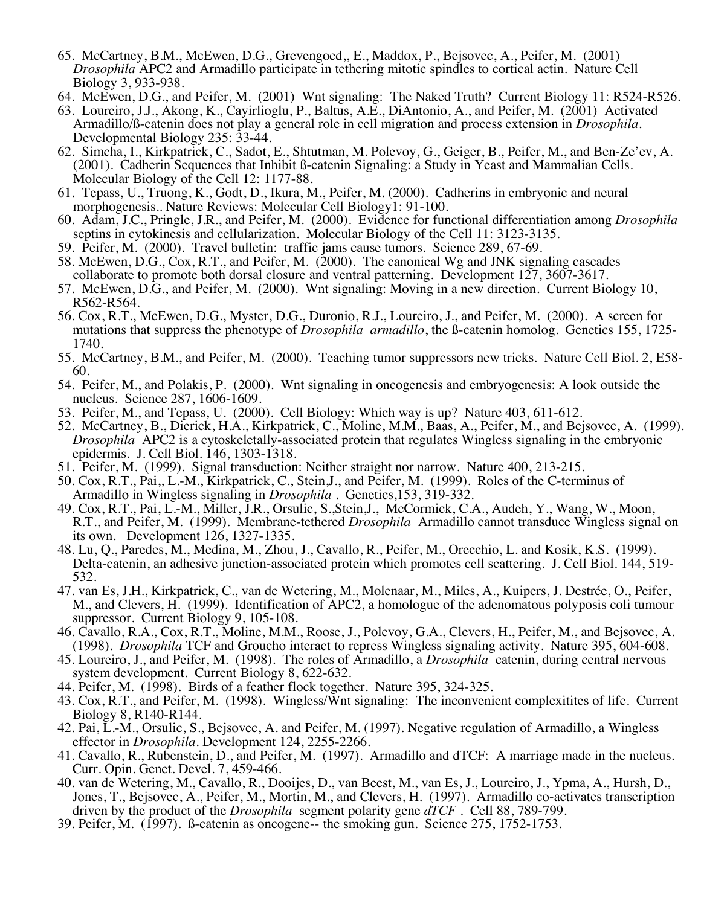- 65. McCartney, B.M., McEwen, D.G., Grevengoed,, E., Maddox, P., Bejsovec, A., Peifer, M. (2001) *Drosophila* APC2 and Armadillo participate in tethering mitotic spindles to cortical actin. Nature Cell Biology 3, 933-938.
- 64. McEwen, D.G., and Peifer, M. (2001) Wnt signaling: The Naked Truth? Current Biology 11: R524-R526.
- 63. Loureiro, J.J., Akong, K., Cayirlioglu, P., Baltus, A.E., DiAntonio, A., and Peifer, M. (2001) Activated Armadillo/ß-catenin does not play a general role in cell migration and process extension in *Drosophila*. Developmental Biology 235: 33-44.
- 62. Simcha, I., Kirkpatrick, C., Sadot, E., Shtutman, M. Polevoy, G., Geiger, B., Peifer, M., and Ben-Ze'ev, A. (2001). Cadherin Sequences that Inhibit ß-catenin Signaling: a Study in Yeast and Mammalian Cells. Molecular Biology of the Cell 12: 1177-88.
- 61. Tepass, U., Truong, K., Godt, D., Ikura, M., Peifer, M. (2000). Cadherins in embryonic and neural morphogenesis.. Nature Reviews: Molecular Cell Biology1: 91-100.
- 60. Adam, J.C., Pringle, J.R., and Peifer, M. (2000). Evidence for functional differentiation among *Drosophila* septins in cytokinesis and cellularization. Molecular Biology of the Cell 11: 3123-3135.
- 
- 59. Peifer, M. (2000). Travel bulletin: traffic jams cause tumors. Science 289, 67-69. 58. McEwen, D.G., Cox, R.T., and Peifer, M. (2000). The canonical Wg and JNK signaling cascades collaborate to promote both dorsal closure and ventral patterning. Development 127, 3607-3617.
- 57. McEwen, D.G., and Peifer, M. (2000). Wnt signaling: Moving in a new direction. Current Biology 10, R562-R564.
- 56. Cox, R.T., McEwen, D.G., Myster, D.G., Duronio, R.J., Loureiro, J., and Peifer, M. (2000). A screen for mutations that suppress the phenotype of *Drosophila armadillo*, the ß-catenin homolog. Genetics 155, 1725- 1740.
- 55. McCartney, B.M., and Peifer, M. (2000). Teaching tumor suppressors new tricks. Nature Cell Biol. 2, E58- 60.
- 54. Peifer, M., and Polakis, P. (2000). Wnt signaling in oncogenesis and embryogenesis: A look outside the nucleus. Science 287, 1606-1609.
- 53. Peifer, M., and Tepass, U. (2000). Cell Biology: Which way is up? Nature 403, 611-612.
- 52. McCartney, B., Dierick, H.A., Kirkpatrick, C., Moline, M.M., Baas, A., Peifer, M., and Bejsovec, A. (1999). *Drosophila* APC2 is a cytoskeletally-associated protein that regulates Wingless signaling in the embryonic epidermis. J. Cell Biol. 146, 1303-1318.
- 51. Peifer, M. (1999). Signal transduction: Neither straight nor narrow. Nature 400, 213-215.
- 50. Cox, R.T., Pai,, L.-M., Kirkpatrick, C., Stein,J., and Peifer, M. (1999). Roles of the C-terminus of Armadillo in Wingless signaling in *Drosophila* . Genetics,153, 319-332.
- 49. Cox, R.T., Pai, L.-M., Miller, J.R., Orsulic, S.,Stein,J., McCormick, C.A., Audeh, Y., Wang, W., Moon, R.T., and Peifer, M. (1999). Membrane-tethered *Drosophila* Armadillo cannot transduce Wingless signal on its own. Development 126, 1327-1335.
- 48. Lu, Q., Paredes, M., Medina, M., Zhou, J., Cavallo, R., Peifer, M., Orecchio, L. and Kosik, K.S. (1999). Delta-catenin, an adhesive junction-associated protein which promotes cell scattering. J. Cell Biol. 144, 519-<br>532.
- 47. van Es, J.H., Kirkpatrick, C., van de Wetering, M., Molenaar, M., Miles, A., Kuipers, J. Destrée, O., Peifer, M., and Clevers, H. (1999). Identification of APC2, a homologue of the adenomatous polyposis coli tumour suppressor. Current Biology 9, 105-108.
- 46. Cavallo, R.A., Cox, R.T., Moline, M.M., Roose, J., Polevoy, G.A., Clevers, H., Peifer, M., and Bejsovec, A. (1998). *Drosophila* TCF and Groucho interact to repress Wingless signaling activity. Nature 395, 604-608.
- 45. Loureiro, J., and Peifer, M. (1998). The roles of Armadillo, a *Drosophila* catenin, during central nervous system development. Current Biology 8, 622-632.
- 44. Peifer, M. (1998). Birds of a feather flock together. Nature 395, 324-325.
- 43. Cox, R.T., and Peifer, M. (1998). Wingless/Wnt signaling: The inconvenient complexitites of life. Current Biology 8, R140-R144.
- 42. Pai, L.-M., Orsulic, S., Bejsovec, A. and Peifer, M. (1997). Negative regulation of Armadillo, a Wingless effector in *Drosophila*. Development 124, 2255-2266.
- 41. Cavallo, R., Rubenstein, D., and Peifer, M. (1997). Armadillo and dTCF: A marriage made in the nucleus. Curr. Opin. Genet. Devel. 7, 459-466.
- 40. van de Wetering, M., Cavallo, R., Dooijes, D., van Beest, M., van Es, J., Loureiro, J., Ypma, A., Hursh, D., Jones, T., Bejsovec, A., Peifer, M., Mortin, M., and Clevers, H. (1997). Armadillo co-activates transcription driven by the product of the *Drosophila* segment polarity gene *dTCF* . Cell 88, 789-799.
- 39. Peifer, M. (1997). ß-catenin as oncogene-- the smoking gun. Science 275, 1752-1753.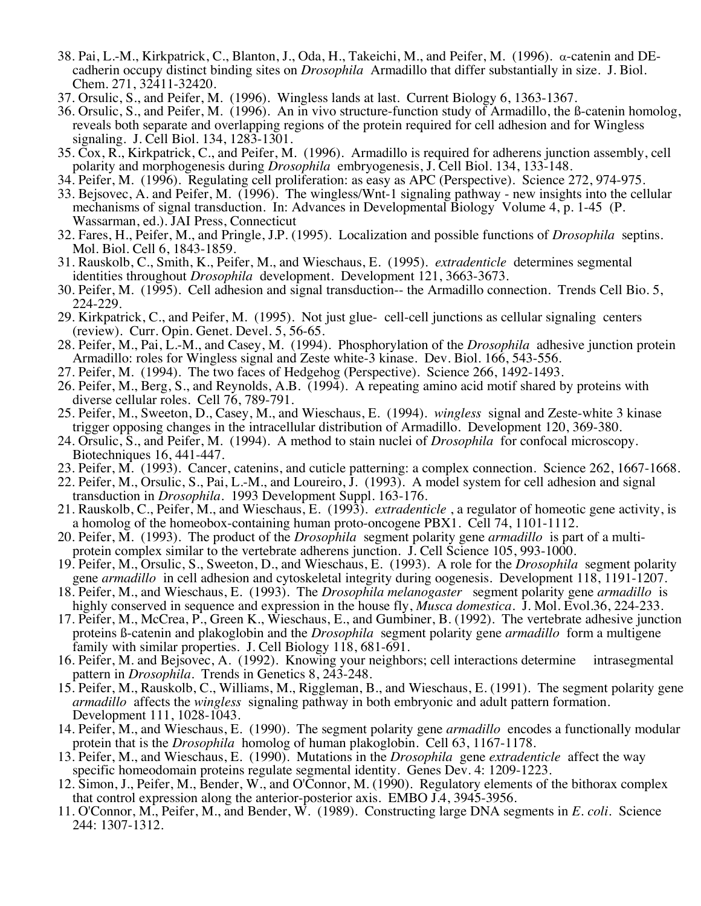- 38. Pai, L.-M., Kirkpatrick, C., Blanton, J., Oda, H., Takeichi, M., and Peifer, M. (1996). a-catenin and DEcadherin occupy distinct binding sites on *Drosophila* Armadillo that differ substantially in size. J. Biol. Chem. 271, 32411-32420.
- 37. Orsulic, S., and Peifer, M. (1996). Wingless lands at last. Current Biology 6, 1363-1367.
- 36. Orsulic, S., and Peifer, M. (1996). An in vivo structure-function study of Armadillo, the ß-catenin homolog, reveals both separate and overlapping regions of the protein required for cell adhesion and for Wingless signaling. J. Cell Biol. 134, 1283-1301.
- 35. Cox, R., Kirkpatrick, C., and Peifer, M. (1996). Armadillo is required for adherens junction assembly, cell polarity and morphogenesis during *Drosophila* embryogenesis, J. Cell Biol. 134, 133-148.
- 34. Peifer, M. (1996). Regulating cell proliferation: as easy as APC (Perspective). Science 272, 974-975.
- 33. Bejsovec, A. and Peifer, M. (1996). The wingless/Wnt-1 signaling pathway new insights into the cellular mechanisms of signal transduction. In: Advances in Developmental Biology Volume 4, p. 1-45 (P. Wassarman, ed.). JAI Press, Connecticut
- 32. Fares, H., Peifer, M., and Pringle, J.P. (1995). Localization and possible functions of *Drosophila* septins. Mol. Biol. Cell 6, 1843-1859.
- 31. Rauskolb, C., Smith, K., Peifer, M., and Wieschaus, E. (1995). *extradenticle* determines segmental identities throughout *Drosophila* development. Development 121, 3663-3673.
- 30. Peifer, M. (1995). Cell adhesion and signal transduction-- the Armadillo connection. Trends Cell Bio. 5, 224-229.
- 29. Kirkpatrick, C., and Peifer, M. (1995). Not just glue- cell-cell junctions as cellular signaling centers (review). Curr. Opin. Genet. Devel. 5, 56-65.
- 28. Peifer, M., Pai, L.-M., and Casey, M. (1994). Phosphorylation of the *Drosophila* adhesive junction protein Armadillo: roles for Wingless signal and Zeste white-3 kinase. Dev. Biol. 166, 543-556.
- 27. Peifer, M. (1994). The two faces of Hedgehog (Perspective). Science 266, 1492-1493.
- 26. Peifer, M., Berg, S., and Reynolds, A.B. (1994). A repeating amino acid motif shared by proteins with diverse cellular roles. Cell 76, 789-791.
- 25. Peifer, M., Sweeton, D., Casey, M., and Wieschaus, E. (1994). *wingless* signal and Zeste-white 3 kinase trigger opposing changes in the intracellular distribution of Armadillo. Development 120, 369-380.
- 24. Orsulic, S., and Peifer, M. (1994). A method to stain nuclei of *Drosophila* for confocal microscopy. Biotechniques 16, 441-447.
- 23. Peifer, M. (1993). Cancer, catenins, and cuticle patterning: a complex connection. Science 262, 1667-1668.
- 22. Peifer, M., Orsulic, S., Pai, L.-M., and Loureiro, J. (1993). A model system for cell adhesion and signal transduction in *Drosophila*. 1993 Development Suppl. 163-176.
- 21. Rauskolb, C., Peifer, M., and Wieschaus, E. (1993). *extradenticle* , a regulator of homeotic gene activity, is a homolog of the homeobox-containing human proto-oncogene PBX1. Cell 74, 1101-1112.
- 20. Peifer, M. (1993). The product of the *Drosophila* segment polarity gene *armadillo* is part of a multiprotein complex similar to the vertebrate adherens junction. J. Cell Science 105, 993-1000.
- 19. Peifer, M., Orsulic, S., Sweeton, D., and Wieschaus, E. (1993). A role for the *Drosophila* segment polarity gene *armadillo* in cell adhesion and cytoskeletal integrity during oogenesis. Development 118, 1191-1207.
- 18. Peifer, M., and Wieschaus, E. (1993). The *Drosophila melanogaster* segment polarity gene *armadillo* is highly conserved in sequence and expression in the house fly, *Musca domestica*. J. Mol. Evol.36, 224-233.
- 17. Peifer, M., McCrea, P., Green K., Wieschaus, E., and Gumbiner, B. (1992). The vertebrate adhesive junction proteins ß-catenin and plakoglobin and the *Drosophila* segment polarity gene *armadillo* form a multigene family with similar properties. J. Cell Biology 118, 681-691.
- 16. Peifer, M. and Bejsovec, A. (1992). Knowing your neighbors; cell interactions determine intrasegmental pattern in *Drosophila*. Trends in Genetics 8, 243-248.
- 15. Peifer, M., Rauskolb, C., Williams, M., Riggleman, B., and Wieschaus, E. (1991). The segment polarity gene *armadillo* affects the *wingless* signaling pathway in both embryonic and adult pattern formation. Development 111, 1028-1043.
- 14. Peifer, M., and Wieschaus, E. (1990). The segment polarity gene *armadillo* encodes a functionally modular protein that is the *Drosophila* homolog of human plakoglobin. Cell 63, 1167-1178.
- 13. Peifer, M., and Wieschaus, E. (1990). Mutations in the *Drosophila* gene *extradenticle* affect the way specific homeodomain proteins regulate segmental identity. Genes Dev. 4: 1209-1223.
- 12. Simon, J., Peifer, M., Bender, W., and O'Connor, M. (1990). Regulatory elements of the bithorax complex that control expression along the anterior-posterior axis. EMBO J.4, 3945-3956.
- 11. O'Connor, M., Peifer, M., and Bender, W. (1989). Constructing large DNA segments in *E. coli.* Science 244: 1307-1312.